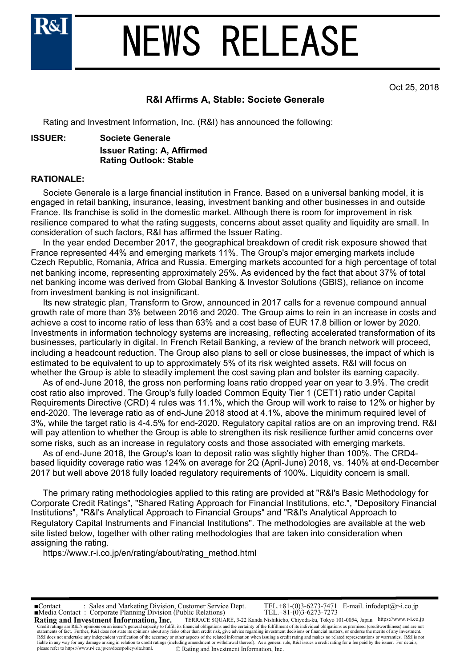

### NEWS RELEASE

Oct 25, 2018

#### **R&I Affirms A, Stable: Societe Generale**

Rating and Investment Information, Inc. (R&I) has announced the following:

#### **ISSUER: Societe Generale**

**Issuer Rating: A, Affirmed Rating Outlook: Stable**

#### **RATIONALE:**

 Societe Generale is a large financial institution in France. Based on a universal banking model, it is engaged in retail banking, insurance, leasing, investment banking and other businesses in and outside France. Its franchise is solid in the domestic market. Although there is room for improvement in risk resilience compared to what the rating suggests, concerns about asset quality and liquidity are small. In consideration of such factors, R&I has affirmed the Issuer Rating.

 In the year ended December 2017, the geographical breakdown of credit risk exposure showed that France represented 44% and emerging markets 11%. The Group's major emerging markets include Czech Republic, Romania, Africa and Russia. Emerging markets accounted for a high percentage of total net banking income, representing approximately 25%. As evidenced by the fact that about 37% of total net banking income was derived from Global Banking & Investor Solutions (GBIS), reliance on income from investment banking is not insignificant.

 Its new strategic plan, Transform to Grow, announced in 2017 calls for a revenue compound annual growth rate of more than 3% between 2016 and 2020. The Group aims to rein in an increase in costs and achieve a cost to income ratio of less than 63% and a cost base of EUR 17.8 billion or lower by 2020. Investments in information technology systems are increasing, reflecting accelerated transformation of its businesses, particularly in digital. In French Retail Banking, a review of the branch network will proceed, including a headcount reduction. The Group also plans to sell or close businesses, the impact of which is estimated to be equivalent to up to approximately 5% of its risk weighted assets. R&I will focus on whether the Group is able to steadily implement the cost saving plan and bolster its earning capacity.

 As of end-June 2018, the gross non performing loans ratio dropped year on year to 3.9%. The credit cost ratio also improved. The Group's fully loaded Common Equity Tier 1 (CET1) ratio under Capital Requirements Directive (CRD) 4 rules was 11.1%, which the Group will work to raise to 12% or higher by end-2020. The leverage ratio as of end-June 2018 stood at 4.1%, above the minimum required level of 3%, while the target ratio is 4-4.5% for end-2020. Regulatory capital ratios are on an improving trend. R&I will pay attention to whether the Group is able to strengthen its risk resilience further amid concerns over some risks, such as an increase in regulatory costs and those associated with emerging markets.

 As of end-June 2018, the Group's loan to deposit ratio was slightly higher than 100%. The CRD4 based liquidity coverage ratio was 124% on average for 2Q (April-June) 2018, vs. 140% at end-December 2017 but well above 2018 fully loaded regulatory requirements of 100%. Liquidity concern is small.

 The primary rating methodologies applied to this rating are provided at "R&I's Basic Methodology for Corporate Credit Ratings", "Shared Rating Approach for Financial Institutions, etc.", "Depository Financial Institutions", "R&I's Analytical Approach to Financial Groups" and "R&I's Analytical Approach to Regulatory Capital Instruments and Financial Institutions". The methodologies are available at the web site listed below, together with other rating methodologies that are taken into consideration when assigning the rating.

https://www.r-i.co.jp/en/rating/about/rating\_method.html

**Rating and Investment Information, Inc.** TERRACE SQUARE, 3-22 Kanda Nishikicho, Chiyoda-ku, Tokyo 101-0054, Japan https://www.r-i.co.jp ■Contact : Sales and Marketing Division, Customer Service Dept. TEL.+81-(0)3-6273-7471 E-mail. infodept@r-i.co.jp Credit ratings are R&I's opinions on an issuer's general capacity to fulfill its financial obligations and the certainty of the fulfillment of its individual obligations as promised (creditworthiness) and are not the merit R&I does not undertake any independent verification of the accuracy or other aspects of the related information when issuing a credit rating and makes no related representations or warranties. R&I is not<br>liable in any way please refer to https://www.r-i.co.jp/en/docs/policy/site.html. © Rating and Investment Information, Inc. ■Media Contact : Corporate Planning Division (Public Relations) TEL.+81-(0)3-6273-7273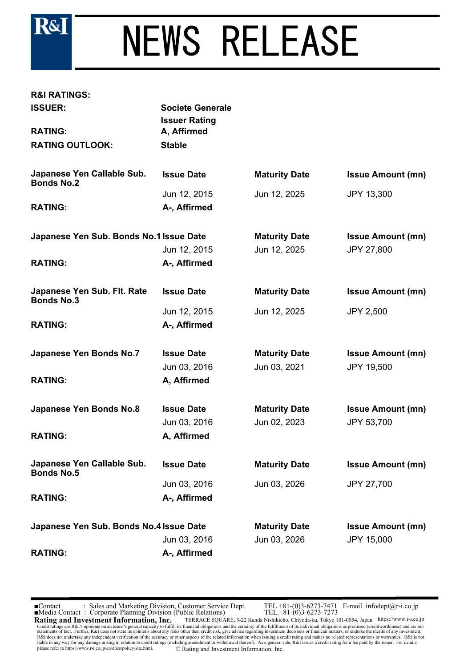

## NEWS RELEASE

### **R&I RATINGS:**

| <b>ISSUER:</b>                                   | <b>Societe Generale</b><br><b>Issuer Rating</b> |                      |                          |
|--------------------------------------------------|-------------------------------------------------|----------------------|--------------------------|
| <b>RATING:</b>                                   | A, Affirmed                                     |                      |                          |
| <b>RATING OUTLOOK:</b>                           | <b>Stable</b>                                   |                      |                          |
| Japanese Yen Callable Sub.<br><b>Bonds No.2</b>  | <b>Issue Date</b>                               | <b>Maturity Date</b> | <b>Issue Amount (mn)</b> |
|                                                  | Jun 12, 2015                                    | Jun 12, 2025         | <b>JPY 13,300</b>        |
| <b>RATING:</b>                                   | A-, Affirmed                                    |                      |                          |
| Japanese Yen Sub. Bonds No.1 Issue Date          |                                                 | <b>Maturity Date</b> | <b>Issue Amount (mn)</b> |
|                                                  | Jun 12, 2015                                    | Jun 12, 2025         | <b>JPY 27,800</b>        |
| <b>RATING:</b>                                   | A-, Affirmed                                    |                      |                          |
| Japanese Yen Sub. Flt. Rate<br><b>Bonds No.3</b> | <b>Issue Date</b>                               | <b>Maturity Date</b> | <b>Issue Amount (mn)</b> |
|                                                  | Jun 12, 2015                                    | Jun 12, 2025         | <b>JPY 2,500</b>         |
| <b>RATING:</b>                                   | A-, Affirmed                                    |                      |                          |
| <b>Japanese Yen Bonds No.7</b>                   | <b>Issue Date</b>                               | <b>Maturity Date</b> | <b>Issue Amount (mn)</b> |
|                                                  | Jun 03, 2016                                    | Jun 03, 2021         | <b>JPY 19,500</b>        |
| <b>RATING:</b>                                   | A, Affirmed                                     |                      |                          |
| Japanese Yen Bonds No.8                          | <b>Issue Date</b>                               | <b>Maturity Date</b> | <b>Issue Amount (mn)</b> |
|                                                  | Jun 03, 2016                                    | Jun 02, 2023         | JPY 53,700               |
| <b>RATING:</b>                                   | A, Affirmed                                     |                      |                          |
| Japanese Yen Callable Sub.<br><b>Bonds No.5</b>  | <b>Issue Date</b>                               | <b>Maturity Date</b> | <b>Issue Amount (mn)</b> |
|                                                  | Jun 03, 2016                                    | Jun 03, 2026         | <b>JPY 27,700</b>        |
| <b>RATING:</b>                                   | A-, Affirmed                                    |                      |                          |
| Japanese Yen Sub. Bonds No.4 Issue Date          |                                                 | <b>Maturity Date</b> | <b>Issue Amount (mn)</b> |
|                                                  | Jun 03, 2016                                    | Jun 03, 2026         | <b>JPY 15,000</b>        |
| <b>RATING:</b>                                   | A-, Affirmed                                    |                      |                          |